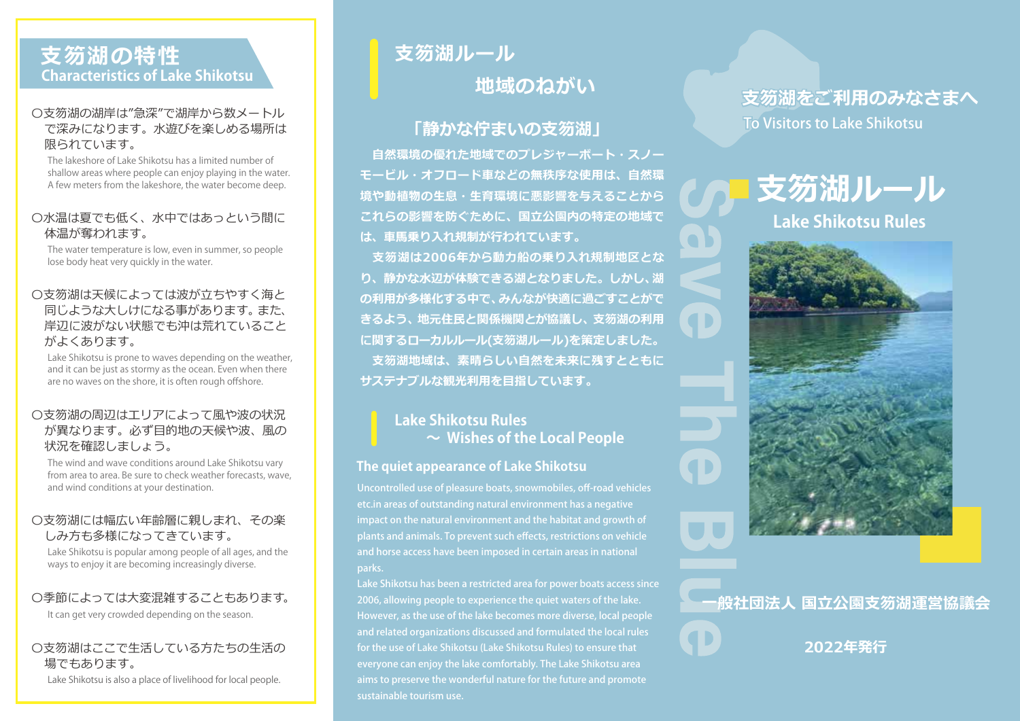# **支笏湖の特性 Characteristics of Lake Shikotsu**

### 〇支笏湖の湖岸は"急深"で湖岸から数メートル で深みになります。水遊びを楽しめる場所は 限られています。

The lakeshore of Lake Shikotsu has a limited number of shallow areas where people can enjoy playing in the water. A few meters from the lakeshore, the water become deep.

#### 〇水温は夏でも低く、水中ではあっという間に 体温が奪われます。

The water temperature is low, even in summer, so people lose body heat very quickly in the water.

#### **支笏湖の危険** 岸辺に波がない状態でも沖は荒れていること 〇支笏湖は天候によっては波が立ちやすく海と 同じような大しけになる事があります。また、 がよくあります。

Lake Shikotsu is prone to waves depending on the weather, and it can be just as stormy as the ocean. Even when there are no waves on the shore, it is often rough offshore.

#### 〇支笏湖の周辺はエリアによって風や波の状況 が異なります。必ず目的地の天候や波、風の 状況を確認しましょう。

The wind and wave conditions around Lake Shikotsu vary from area to area. Be sure to check weather forecasts, wave, and wind conditions at your destination.

#### 〇支笏湖には幅広い年齢層に親しまれ、その楽 しみ方も多様になってきています。

Lake Shikotsu is popular among people of all ages, and the ways to enjoy it are becoming increasingly diverse.

#### 〇季節によっては大変混雑することもあります。

It can get very crowded depending on the season.

#### 〇支笏湖はここで生活している方たちの生活の 場でもあります。

Lake Shikotsu is also a place of livelihood for local people.

# **支笏湖ルール 地域のねがい**

# **「静かな佇まいの支笏湖」**

 **自然環境の優れた地域でのプレジャーボート・スノー モービル・オフロード車などの無秩序な使用は、自然環 境や動植物の生息・生育環境に悪影響を与えることから これらの影響を防ぐために、国立公園内の特定の地域で は、車馬乗り入れ規制が行われています。**

**支笏湖は2006年から動力船の乗り入れ規制地区とな り、静かな水辺が体験できる湖となりました。しかし、湖 の利用が多様化する中で、みんなが快適に過ごすことがで きるよう、地元住民と関係機関とが協議し、支笏湖の利用 に関するローカルルール(支笏湖ルール)を策定しました。 支笏湖地域は、素晴らしい自然を未来に残すとともに サステナブルな観光利用を目指しています。**

## **Lake Shikotsu Rules ~ Wishes of the Local People**

#### **The quiet appearance of Lake Shikotsu**

Uncontrolled use of pleasure boats, snowmobiles, off-road vehicles etc.in areas of outstanding natural environment has a negative impact on the natural environment and the habitat and growth of plants and animals. To prevent such effects, restrictions on vehicle and horse access have been imposed in certain areas in national parks.

Lake Shikotsu has been a restricted area for power boats access since 2006, allowing people to experience the quiet waters of the lake. However, as the use of the lake becomes more diverse, local people and related organizations discussed and formulated the local rules for the use of Lake Shikotsu (Lake Shikotsu Rules) to ensure that everyone can enjoy the lake comfortably. The Lake Shikotsu area aims to preserve the wonderful nature for the future and promote sustainable tourism use.

# **支笏湖をご利用のみなさまへ** To Visitors to Lake Shikotsu





**4D** 

**一般社団法人 国立公園支笏湖運営協議会**

**2022年発行**